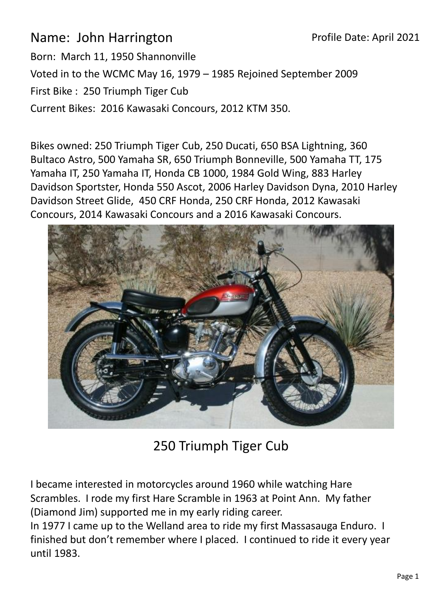Name: John Harrington Born: March 11, 1950 Shannonville Voted in to the WCMC May 16, 1979 – 1985 Rejoined September 2009 First Bike : 250 Triumph Tiger Cub Current Bikes: 2016 Kawasaki Concours, 2012 KTM 350.

Bikes owned: 250 Triumph Tiger Cub, 250 Ducati, 650 BSA Lightning, 360 Bultaco Astro, 500 Yamaha SR, 650 Triumph Bonneville, 500 Yamaha TT, 175 Yamaha IT, 250 Yamaha IT, Honda CB 1000, 1984 Gold Wing, 883 Harley Davidson Sportster, Honda 550 Ascot, 2006 Harley Davidson Dyna, 2010 Harley Davidson Street Glide, 450 CRF Honda, 250 CRF Honda, 2012 Kawasaki Concours, 2014 Kawasaki Concours and a 2016 Kawasaki Concours.



250 Triumph Tiger Cub

I became interested in motorcycles around 1960 while watching Hare Scrambles. I rode my first Hare Scramble in 1963 at Point Ann. My father (Diamond Jim) supported me in my early riding career.

In 1977 I came up to the Welland area to ride my first Massasauga Enduro. I finished but don't remember where I placed. I continued to ride it every year until 1983.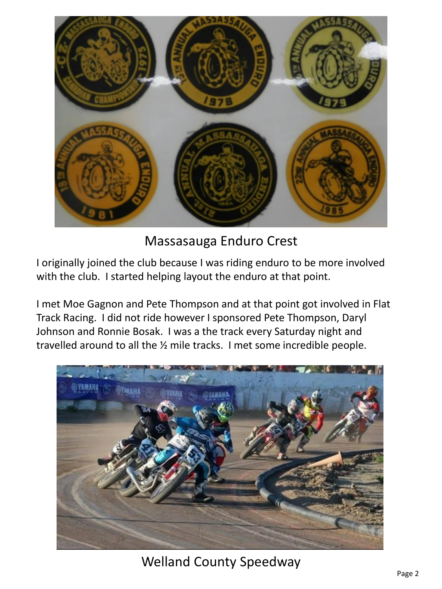

Massasauga Enduro Crest

I originally joined the club because I was riding enduro to be more involved with the club. I started helping layout the enduro at that point.

I met Moe Gagnon and Pete Thompson and at that point got involved in Flat Track Racing. I did not ride however I sponsored Pete Thompson, Daryl Johnson and Ronnie Bosak. I was a the track every Saturday night and travelled around to all the ½ mile tracks. I met some incredible people.

![](_page_1_Picture_4.jpeg)

Welland County Speedway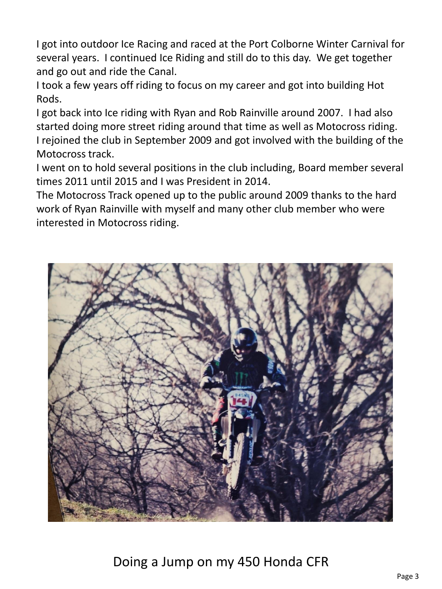I got into outdoor Ice Racing and raced at the Port Colborne Winter Carnival for several years. I continued Ice Riding and still do to this day. We get together and go out and ride the Canal.

I took a few years off riding to focus on my career and got into building Hot Rods.

I got back into Ice riding with Ryan and Rob Rainville around 2007. I had also started doing more street riding around that time as well as Motocross riding. I rejoined the club in September 2009 and got involved with the building of the Motocross track.

I went on to hold several positions in the club including, Board member several times 2011 until 2015 and I was President in 2014.

The Motocross Track opened up to the public around 2009 thanks to the hard work of Ryan Rainville with myself and many other club member who were interested in Motocross riding.

![](_page_2_Picture_5.jpeg)

Doing a Jump on my 450 Honda CFR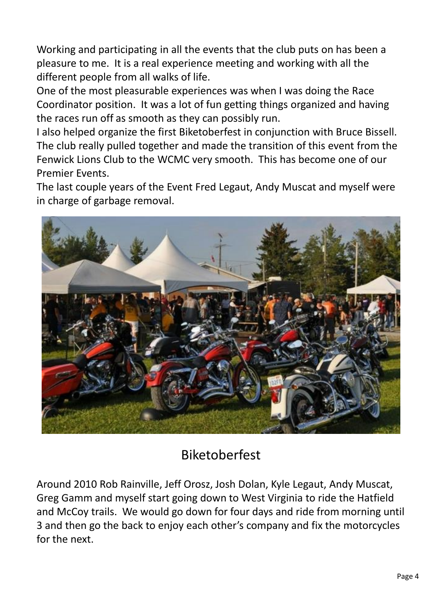Working and participating in all the events that the club puts on has been a pleasure to me. It is a real experience meeting and working with all the different people from all walks of life.

One of the most pleasurable experiences was when I was doing the Race Coordinator position. It was a lot of fun getting things organized and having the races run off as smooth as they can possibly run.

I also helped organize the first Biketoberfest in conjunction with Bruce Bissell. The club really pulled together and made the transition of this event from the Fenwick Lions Club to the WCMC very smooth. This has become one of our Premier Events.

The last couple years of the Event Fred Legaut, Andy Muscat and myself were in charge of garbage removal.

![](_page_3_Picture_4.jpeg)

## Biketoberfest

Around 2010 Rob Rainville, Jeff Orosz, Josh Dolan, Kyle Legaut, Andy Muscat, Greg Gamm and myself start going down to West Virginia to ride the Hatfield and McCoy trails. We would go down for four days and ride from morning until 3 and then go the back to enjoy each other's company and fix the motorcycles for the next.